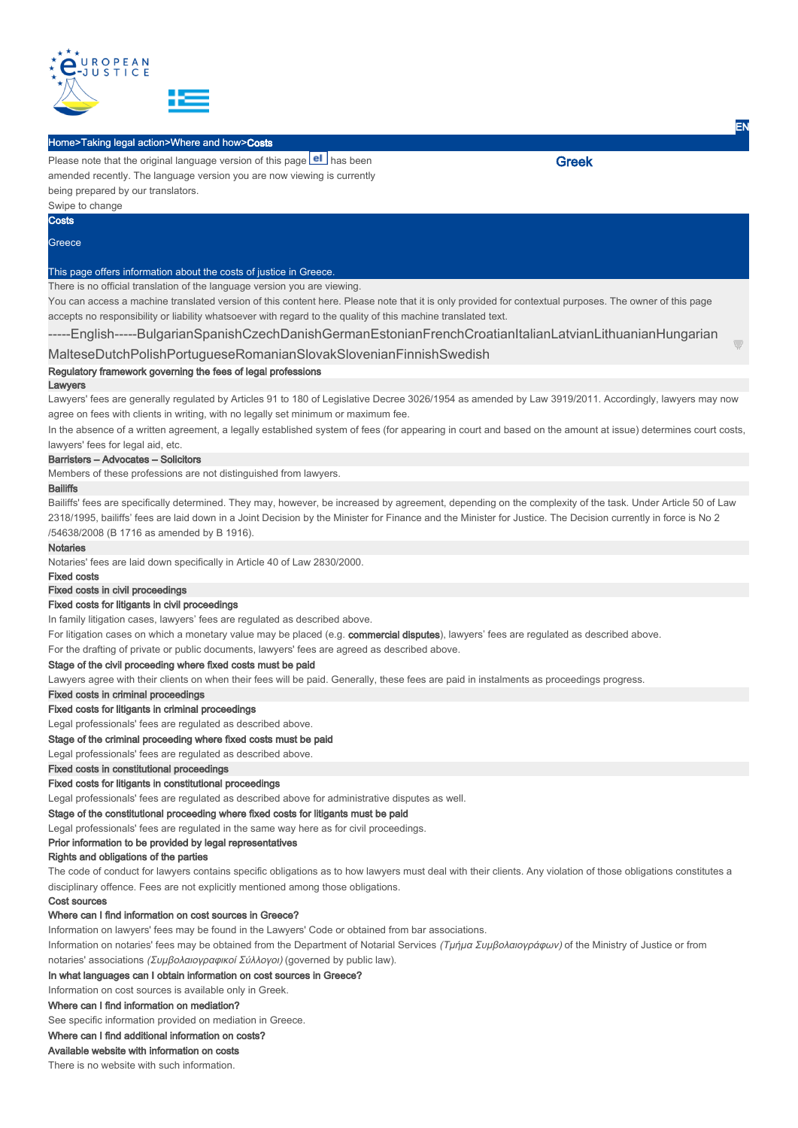

#### Home>Taking legal action>Where and how>Costs

Please note that the original language version of this page el has been amended recently. The language version you are now viewing is currently being prepared by our translators. Swipe to change

**Costs** 

#### **Greece**

# This page offers information about the costs of justice in Greece.

There is no official translation of the language version you are viewing.

You can access a machine translated version of this content here. Please note that it is only provided for contextual purposes. The owner of this page accepts no responsibility or liability whatsoever with regard to the quality of this machine translated text.

-----English-----BulgarianSpanishCzechDanishGermanEstonianFrenchCroatianItalianLatvianLithuanianHungarian

## MalteseDutchPolishPortugueseRomanianSlovakSlovenianFinnishSwedish

## Regulatory framework governing the fees of legal professions

#### Lawyers

Lawyers' fees are generally regulated by Articles 91 to 180 of Legislative Decree 3026/1954 as amended by Law 3919/2011. Accordingly, lawyers may now agree on fees with clients in writing, with no legally set minimum or maximum fee.

In the absence of a written agreement, a legally established system of fees (for appearing in court and based on the amount at issue) determines court costs, lawyers' fees for legal aid, etc.

#### Barristers – Advocates – Solicitors

Members of these professions are not distinguished from lawyers.

#### **Bailiffs**

Bailiffs' fees are specifically determined. They may, however, be increased by agreement, depending on the complexity of the task. Under Article 50 of Law 2318/1995, bailiffs' fees are laid down in a Joint Decision by the Minister for Finance and the Minister for Justice. The Decision currently in force is No 2 /54638/2008 (B 1716 as amended by B 1916).

#### Notaries

Notaries' fees are laid down specifically in Article 40 of Law 2830/2000.

# Fixed costs

# Fixed costs in civil proceedings

### Fixed costs for litigants in civil proceedings

In family litigation cases, lawyers' fees are regulated as described above.

For litigation cases on which a monetary value may be placed (e.g. commercial disputes), lawyers' fees are regulated as described above.

For the drafting of private or public documents, lawyers' fees are agreed as described above.

## Stage of the civil proceeding where fixed costs must be paid

Lawyers agree with their clients on when their fees will be paid. Generally, these fees are paid in instalments as proceedings progress.

## Fixed costs in criminal proceedings

#### Fixed costs for litigants in criminal proceedings

Legal professionals' fees are regulated as described above.

## Stage of the criminal proceeding where fixed costs must be paid

Legal professionals' fees are regulated as described above.

## Fixed costs in constitutional proceedings

Fixed costs for litigants in constitutional proceedings

Legal professionals' fees are regulated as described above for administrative disputes as well.

# Stage of the constitutional proceeding where fixed costs for litigants must be paid

Legal professionals' fees are regulated in the same way here as for civil proceedings.

Prior information to be provided by legal representatives

## Rights and obligations of the parties

The code of conduct for lawyers contains specific obligations as to how lawyers must deal with their clients. Any violation of those obligations constitutes a disciplinary offence. Fees are not explicitly mentioned among those obligations.

#### Cost sources

# Where can I find information on cost sources in Greece?

Information on lawyers' fees may be found in the Lawyers' Code or obtained from bar associations.

Information on notaries' fees may be obtained from the Department of Notarial Services (Τμήμα Συμβολαιογράφων) of the Ministry of Justice or from notaries' associations (Συμβολαιογραφικοί Σύλλογοι) (governed by public law).

# In what languages can I obtain information on cost sources in Greece?

Information on cost sources is available only in Greek.

# Where can I find information on mediation?

See specific information provided on mediation in Greece.

## Where can I find additional information on costs?

## Available website with information on costs

There is no website with such information.

EN

Greek